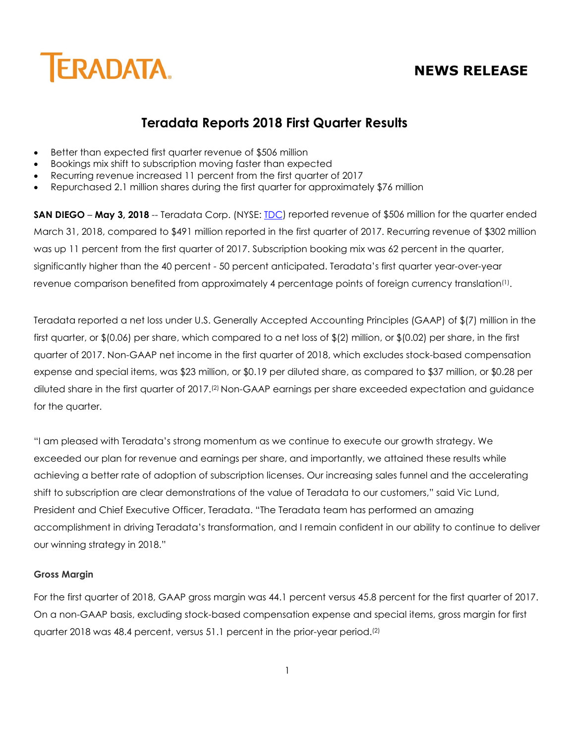# **NEWS RELEASE**



## **Teradata Reports 2018 First Quarter Results**

- Better than expected first quarter revenue of \$506 million
- Bookings mix shift to subscription moving faster than expected
- Recurring revenue increased 11 percent from the first quarter of 2017
- Repurchased 2.1 million shares during the first quarter for approximately \$76 million

**SAN DIEGO** – **May 3, 2018** -- Teradata Corp. (NYSE: **IDC**) reported revenue of \$506 million for the quarter ended March 31, 2018, compared to \$491 million reported in the first quarter of 2017. Recurring revenue of \$302 million was up 11 percent from the first quarter of 2017. Subscription booking mix was 62 percent in the quarter, significantly higher than the 40 percent - 50 percent anticipated. Teradata's first quarter year-over-year revenue comparison benefited from approximately 4 percentage points of foreign currency translation<sup>(1)</sup>.

Teradata reported a net loss under U.S. Generally Accepted Accounting Principles (GAAP) of \$(7) million in the first quarter, or \$(0.06) per share, which compared to a net loss of \$(2) million, or \$(0.02) per share, in the first quarter of 2017. Non-GAAP net income in the first quarter of 2018, which excludes stock-based compensation expense and special items, was \$23 million, or \$0.19 per diluted share, as compared to \$37 million, or \$0.28 per diluted share in the first quarter of 2017.(2) Non-GAAP earnings per share exceeded expectation and guidance for the quarter.

"I am pleased with Teradata's strong momentum as we continue to execute our growth strategy. We exceeded our plan for revenue and earnings per share, and importantly, we attained these results while achieving a better rate of adoption of subscription licenses. Our increasing sales funnel and the accelerating shift to subscription are clear demonstrations of the value of Teradata to our customers," said Vic Lund, President and Chief Executive Officer, Teradata. "The Teradata team has performed an amazing accomplishment in driving Teradata's transformation, and I remain confident in our ability to continue to deliver our winning strategy in 2018."

### **Gross Margin**

For the first quarter of 2018, GAAP gross margin was 44.1 percent versus 45.8 percent for the first quarter of 2017. On a non-GAAP basis, excluding stock-based compensation expense and special items, gross margin for first quarter 2018 was 48.4 percent, versus 51.1 percent in the prior-year period.<sup>(2)</sup>

1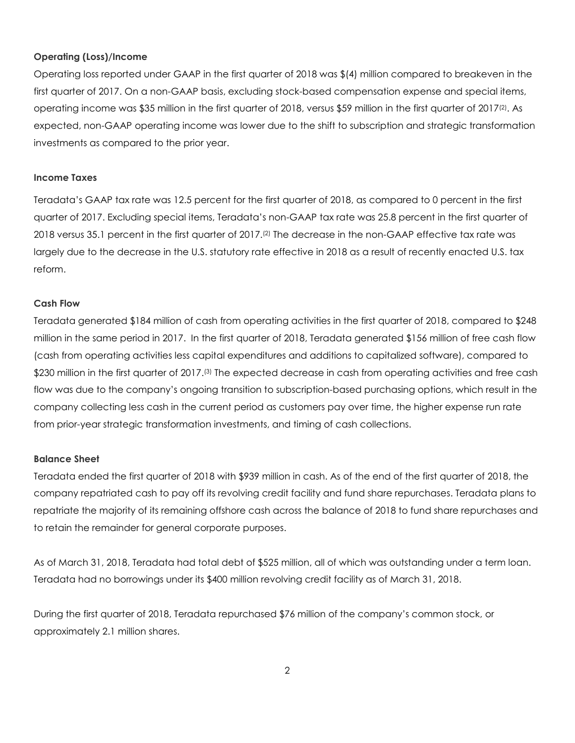### **Operating (Loss)/Income**

Operating loss reported under GAAP in the first quarter of 2018 was \$(4) million compared to breakeven in the first quarter of 2017. On a non-GAAP basis, excluding stock-based compensation expense and special items, operating income was \$35 million in the first quarter of 2018, versus \$59 million in the first quarter of 2017(2). As expected, non-GAAP operating income was lower due to the shift to subscription and strategic transformation investments as compared to the prior year.

#### **Income Taxes**

Teradata's GAAP tax rate was 12.5 percent for the first quarter of 2018, as compared to 0 percent in the first quarter of 2017. Excluding special items, Teradata's non-GAAP tax rate was 25.8 percent in the first quarter of 2018 versus 35.1 percent in the first quarter of 2017.(2) The decrease in the non-GAAP effective tax rate was largely due to the decrease in the U.S. statutory rate effective in 2018 as a result of recently enacted U.S. tax reform.

#### **Cash Flow**

Teradata generated \$184 million of cash from operating activities in the first quarter of 2018, compared to \$248 million in the same period in 2017. In the first quarter of 2018, Teradata generated \$156 million of free cash flow (cash from operating activities less capital expenditures and additions to capitalized software), compared to \$230 million in the first quarter of 2017.<sup>(3)</sup> The expected decrease in cash from operating activities and free cash flow was due to the company's ongoing transition to subscription-based purchasing options, which result in the company collecting less cash in the current period as customers pay over time, the higher expense run rate from prior-year strategic transformation investments, and timing of cash collections.

#### **Balance Sheet**

Teradata ended the first quarter of 2018 with \$939 million in cash. As of the end of the first quarter of 2018, the company repatriated cash to pay off its revolving credit facility and fund share repurchases. Teradata plans to repatriate the majority of its remaining offshore cash across the balance of 2018 to fund share repurchases and to retain the remainder for general corporate purposes.

As of March 31, 2018, Teradata had total debt of \$525 million, all of which was outstanding under a term loan. Teradata had no borrowings under its \$400 million revolving credit facility as of March 31, 2018.

During the first quarter of 2018, Teradata repurchased \$76 million of the company's common stock, or approximately 2.1 million shares.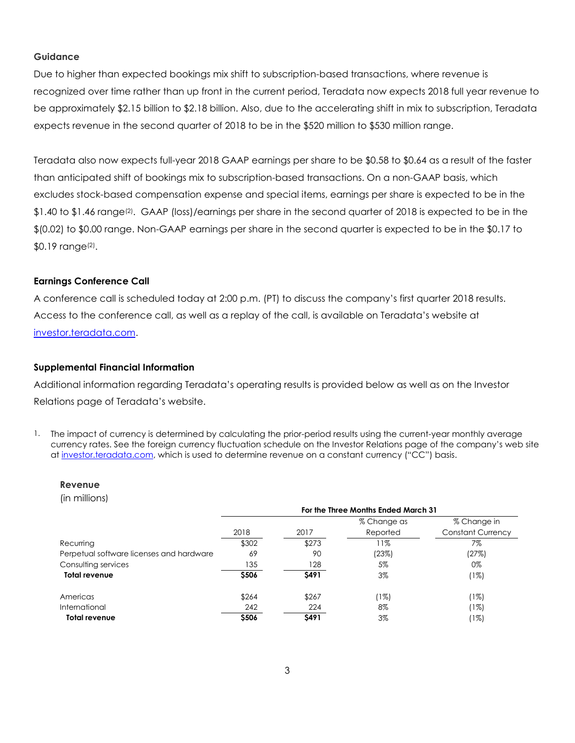#### **Guidance**

Due to higher than expected bookings mix shift to subscription-based transactions, where revenue is recognized over time rather than up front in the current period, Teradata now expects 2018 full year revenue to be approximately \$2.15 billion to \$2.18 billion. Also, due to the accelerating shift in mix to subscription, Teradata expects revenue in the second quarter of 2018 to be in the \$520 million to \$530 million range.

Teradata also now expects full-year 2018 GAAP earnings per share to be \$0.58 to \$0.64 as a result of the faster than anticipated shift of bookings mix to subscription-based transactions. On a non-GAAP basis, which excludes stock-based compensation expense and special items, earnings per share is expected to be in the \$1.40 to \$1.46 range<sup>(2)</sup>. GAAP (loss)/earnings per share in the second quarter of 2018 is expected to be in the \$(0.02) to \$0.00 range. Non-GAAP earnings per share in the second quarter is expected to be in the \$0.17 to \$0.19 range(2).

#### **Earnings Conference Call**

A conference call is scheduled today at 2:00 p.m. (PT) to discuss the company's first quarter 2018 results. Access to the conference call, as well as a replay of the call, is available on Teradata's website at [investor.teradata.com.](http://investor.teradata.com/about-teradata/default.aspx#top)

#### **Supplemental Financial Information**

Additional information regarding Teradata's operating results is provided below as well as on the Investor Relations page of Teradata's website.

1. The impact of currency is determined by calculating the prior-period results using the current-year monthly average currency rates. See the foreign currency fluctuation schedule on the Investor Relations page of the company's web site a[t investor.teradata.com,](http://investor.teradata.com/about-teradata/default.aspx#top) which is used to determine revenue on a constant currency ("CC") basis.

#### **Revenue**

(in millions)

|                                          | For the Three Months Ended March 31 |             |             |                          |  |  |
|------------------------------------------|-------------------------------------|-------------|-------------|--------------------------|--|--|
|                                          |                                     |             | % Change as | % Change in              |  |  |
|                                          | 2018                                | 2017        | Reported    | <b>Constant Currency</b> |  |  |
| Recurring                                | \$302                               | \$273       | 11%         | 7%                       |  |  |
| Perpetual software licenses and hardware | 69                                  | 90          | (23%)       | (27%)                    |  |  |
| Consulting services                      | 135                                 | 128         | 5%          | 0%                       |  |  |
| <b>Total revenue</b>                     | \$506                               | \$491       | $3\%$       | (1%)                     |  |  |
| Americas                                 | \$264                               | \$267       | (1%)        | (1%)                     |  |  |
| International                            | 242                                 | 224         | 8%          | (1%)                     |  |  |
| <b>Total revenue</b>                     | \$506                               | <b>S491</b> | $3\%$       | (1%)                     |  |  |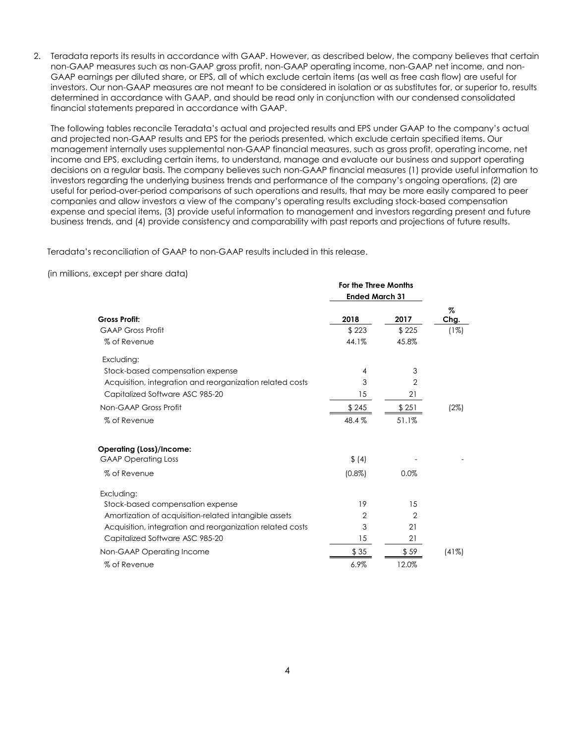2. Teradata reports its results in accordance with GAAP. However, as described below, the company believes that certain non-GAAP measures such as non-GAAP gross profit, non-GAAP operating income, non-GAAP net income, and non-GAAP earnings per diluted share, or EPS, all of which exclude certain items (as well as free cash flow) are useful for investors. Our non-GAAP measures are not meant to be considered in isolation or as substitutes for, or superior to, results determined in accordance with GAAP, and should be read only in conjunction with our condensed consolidated financial statements prepared in accordance with GAAP.

The following tables reconcile Teradata's actual and projected results and EPS under GAAP to the company's actual and projected non-GAAP results and EPS for the periods presented, which exclude certain specified items. Our management internally uses supplemental non-GAAP financial measures, such as gross profit, operating income, net income and EPS, excluding certain items, to understand, manage and evaluate our business and support operating decisions on a regular basis. The company believes such non-GAAP financial measures (1) provide useful information to investors regarding the underlying business trends and performance of the company's ongoing operations, (2) are useful for period-over-period comparisons of such operations and results, that may be more easily compared to peer companies and allow investors a view of the company's operating results excluding stock-based compensation expense and special items, (3) provide useful information to management and investors regarding present and future business trends, and (4) provide consistency and comparability with past reports and projections of future results.

Teradata's reconciliation of GAAP to non-GAAP results included in this release.

(in millions, except per share data)

|                                                           | For the Three Months  |                |       |  |
|-----------------------------------------------------------|-----------------------|----------------|-------|--|
|                                                           | <b>Ended March 31</b> |                |       |  |
|                                                           |                       |                | Z     |  |
| <b>Gross Profit:</b>                                      | 2018                  | 2017           | Chg.  |  |
| <b>GAAP Gross Profit</b>                                  | \$223                 | \$225          | (1%)  |  |
| % of Revenue                                              | 44.1%                 | 45.8%          |       |  |
| Excluding:                                                |                       |                |       |  |
| Stock-based compensation expense                          | 4                     | 3              |       |  |
| Acquisition, integration and reorganization related costs | 3                     | 2              |       |  |
| Capitalized Software ASC 985-20                           | 15                    | 21             |       |  |
| Non-GAAP Gross Profit                                     | \$245                 | \$251          | (2%)  |  |
| % of Revenue                                              | 48.4%                 | 51.1%          |       |  |
| <b>Operating (Loss)/Income:</b>                           |                       |                |       |  |
| <b>GAAP Operating Loss</b>                                | \$ (4)                |                |       |  |
| % of Revenue                                              | $(0.8\%)$             | 0.0%           |       |  |
| Excluding:                                                |                       |                |       |  |
| Stock-based compensation expense                          | 19                    | 15             |       |  |
| Amortization of acquisition-related intangible assets     | $\overline{2}$        | $\overline{2}$ |       |  |
| Acquisition, integration and reorganization related costs | 3                     | 21             |       |  |
| Capitalized Software ASC 985-20                           | 15                    | 21             |       |  |
| Non-GAAP Operating Income                                 | \$35                  | \$59           | (41%) |  |
| % of Revenue                                              | 6.9%                  | 12.0%          |       |  |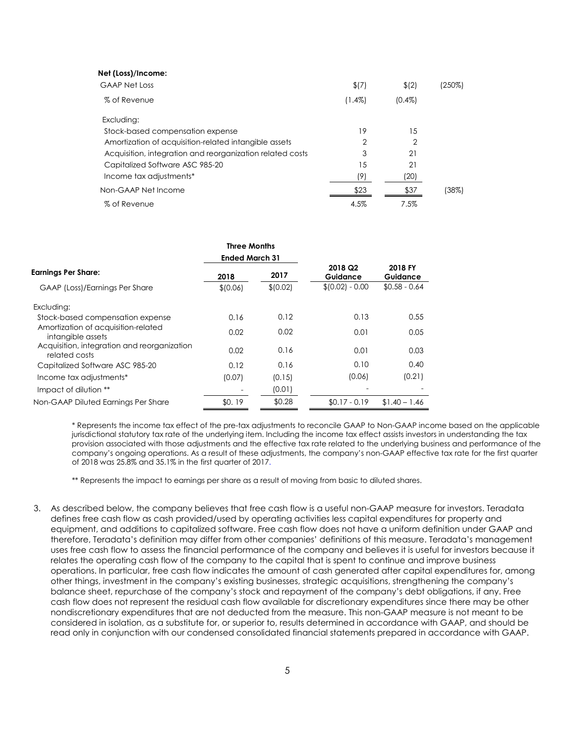| Net (Loss)/Income:                                        |           |                |        |
|-----------------------------------------------------------|-----------|----------------|--------|
| <b>GAAP Net Loss</b>                                      | \$(7)     | \$(2)          | (250%) |
| % of Revenue                                              | $(1.4\%)$ | $(0.4\%)$      |        |
| Excluding:                                                |           |                |        |
| Stock-based compensation expense                          | 19        | 15             |        |
| Amortization of acquisition-related intangible assets     | 2         | $\overline{2}$ |        |
| Acquisition, integration and reorganization related costs | 3         | 21             |        |
| Capitalized Software ASC 985-20                           | 15        | 21             |        |
| Income tax adjustments*                                   | (9)       | (20)           |        |
| Non-GAAP Net Income                                       | \$23      | \$37           | (38%)  |
| % of Revenue                                              | 4.5%      | 7.5%           |        |

|                                                              | <b>Three Months</b>   |           |                                 |                     |  |
|--------------------------------------------------------------|-----------------------|-----------|---------------------------------|---------------------|--|
|                                                              | <b>Ended March 31</b> |           |                                 |                     |  |
| <b>Earnings Per Share:</b>                                   | 2018                  | 2017      | 2018 Q <sub>2</sub><br>Guidance | 2018 FY<br>Guidance |  |
| <b>GAAP</b> (Loss)/Earnings Per Share                        | \$10.06]              | \$ (0.02) | $$(0.02) - 0.00$                | $$0.58 - 0.64$      |  |
| Excluding:                                                   |                       |           |                                 |                     |  |
| Stock-based compensation expense                             | 0.16                  | 0.12      | 0.13                            | 0.55                |  |
| Amortization of acquisition-related<br>intangible assets     | 0.02                  | 0.02      | 0.01                            | 0.05                |  |
| Acquisition, integration and reorganization<br>related costs | 0.02                  | 0.16      | 0.01                            | 0.03                |  |
| Capitalized Software ASC 985-20                              | 0.12                  | 0.16      | 0.10                            | 0.40                |  |
| Income tax adjustments*                                      | (0.07)                | (0.15)    | (0.06)                          | (0.21)              |  |
| Impact of dilution **                                        |                       | (0.01)    |                                 |                     |  |
| Non-GAAP Diluted Earnings Per Share                          | \$0.19                | \$0.28    | $$0.17 - 0.19$                  | $$1.40 - 1.46$      |  |

\* Represents the income tax effect of the pre-tax adjustments to reconcile GAAP to Non-GAAP income based on the applicable jurisdictional statutory tax rate of the underlying item. Including the income tax effect assists investors in understanding the tax provision associated with those adjustments and the effective tax rate related to the underlying business and performance of the company's ongoing operations. As a result of these adjustments, the company's non-GAAP effective tax rate for the first quarter of 2018 was 25.8% and 35.1% in the first quarter of 2017.

\*\* Represents the impact to earnings per share as a result of moving from basic to diluted shares.

3. As described below, the company believes that free cash flow is a useful non-GAAP measure for investors. Teradata defines free cash flow as cash provided/used by operating activities less capital expenditures for property and equipment, and additions to capitalized software. Free cash flow does not have a uniform definition under GAAP and therefore, Teradata's definition may differ from other companies' definitions of this measure. Teradata's management uses free cash flow to assess the financial performance of the company and believes it is useful for investors because it relates the operating cash flow of the company to the capital that is spent to continue and improve business operations. In particular, free cash flow indicates the amount of cash generated after capital expenditures for, among other things, investment in the company's existing businesses, strategic acquisitions, strengthening the company's balance sheet, repurchase of the company's stock and repayment of the company's debt obligations, if any. Free cash flow does not represent the residual cash flow available for discretionary expenditures since there may be other nondiscretionary expenditures that are not deducted from the measure. This non-GAAP measure is not meant to be considered in isolation, as a substitute for, or superior to, results determined in accordance with GAAP, and should be read only in conjunction with our condensed consolidated financial statements prepared in accordance with GAAP.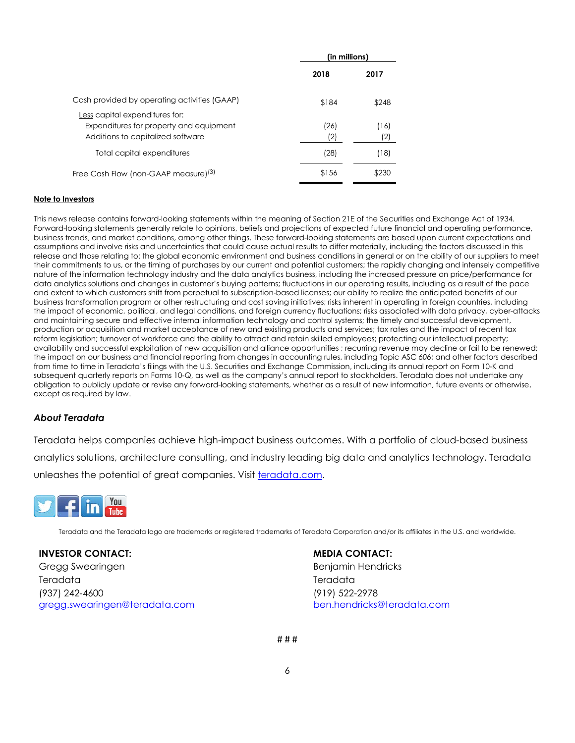|                                                                                                                       | (in millions) |             |
|-----------------------------------------------------------------------------------------------------------------------|---------------|-------------|
|                                                                                                                       | 2018          | 2017        |
| Cash provided by operating activities (GAAP)                                                                          | \$184         | \$248       |
| <u>Less</u> capital expenditures for:<br>Expenditures for property and equipment<br>Additions to capitalized software | (26)<br>(2)   | (16)<br>(2) |
| Total capital expenditures                                                                                            | (28)          | (18)        |
| Free Cash Flow (non-GAAP measure) <sup>(3)</sup>                                                                      | \$156         | \$230       |

#### **Note to Investors**

This news release contains forward-looking statements within the meaning of Section 21E of the Securities and Exchange Act of 1934. Forward-looking statements generally relate to opinions, beliefs and projections of expected future financial and operating performance, business trends, and market conditions, among other things. These forward-looking statements are based upon current expectations and assumptions and involve risks and uncertainties that could cause actual results to differ materially, including the factors discussed in this release and those relating to: the global economic environment and business conditions in general or on the ability of our suppliers to meet their commitments to us, or the timing of purchases by our current and potential customers; the rapidly changing and intensely competitive nature of the information technology industry and the data analytics business, including the increased pressure on price/performance for data analytics solutions and changes in customer's buying patterns; fluctuations in our operating results, including as a result of the pace and extent to which customers shift from perpetual to subscription-based licenses; our ability to realize the anticipated benefits of our business transformation program or other restructuring and cost saving initiatives; risks inherent in operating in foreign countries, including the impact of economic, political, and legal conditions, and foreign currency fluctuations; risks associated with data privacy, cyber-attacks and maintaining secure and effective internal information technology and control systems; the timely and successful development, production or acquisition and market acceptance of new and existing products and services; tax rates and the impact of recent tax reform legislation; turnover of workforce and the ability to attract and retain skilled employees; protecting our intellectual property; availability and successful exploitation of new acquisition and alliance opportunities ; recurring revenue may decline or fail to be renewed; the impact on our business and financial reporting from changes in accounting rules, including Topic ASC *606*; and other factors described from time to time in Teradata's filings with the U.S. Securities and Exchange Commission, including its annual report on Form 10-K and subsequent quarterly reports on Forms 10-Q, as well as the company's annual report to stockholders. Teradata does not undertake any obligation to publicly update or revise any forward-looking statements, whether as a result of new information, future events or otherwise, except as required by law.

#### *About Teradata*

Teradata helps companies achieve high-impact business outcomes. With a portfolio of cloud-based business analytics solutions, architecture consulting, and industry leading big data and analytics technology, Teradata unleashes the potential of great companies. Visit [teradata.com.](http://www.teradata.com/)



Teradata and the Teradata logo are trademarks or registered trademarks of Teradata Corporation and/or its affiliates in the U.S. and worldwide.

**INVESTOR CONTACT:**  Gregg Swearingen Teradata (937) 242-4600 [gregg.swearingen@teradata.com](mailto:gregg.swearingen@teradata.com) **MEDIA CONTACT:**

Benjamin Hendricks Teradata (919) 522-2978 [ben.hendricks@teradata.com](mailto:ben.hendricks@teradata.com)

# # #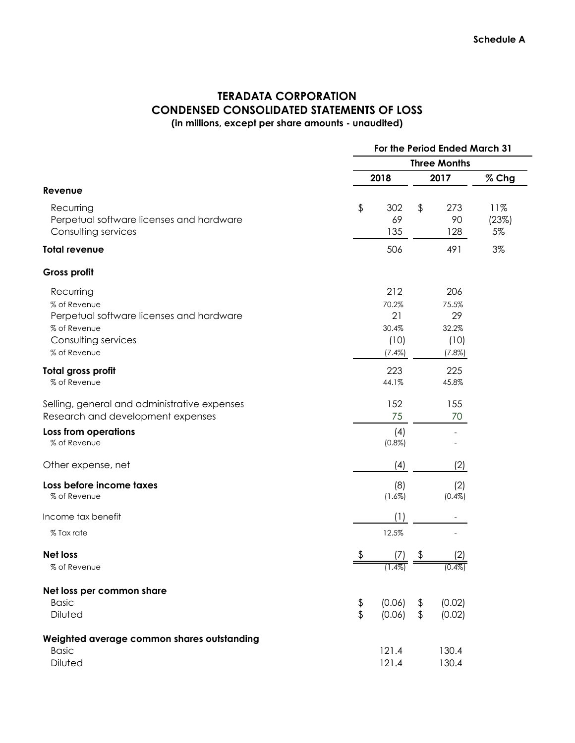### **TERADATA CORPORATION CONDENSED CONSOLIDATED STATEMENTS OF LOSS (in millions, except per share amounts - unaudited)**

|                                                                                                                              |                     | For the Period Ended March 31                 |                     |                                               |                    |
|------------------------------------------------------------------------------------------------------------------------------|---------------------|-----------------------------------------------|---------------------|-----------------------------------------------|--------------------|
|                                                                                                                              | <b>Three Months</b> |                                               |                     |                                               |                    |
|                                                                                                                              |                     | 2018                                          |                     | 2017                                          | % Chg              |
| Revenue                                                                                                                      |                     |                                               |                     |                                               |                    |
| Recurring<br>Perpetual software licenses and hardware<br>Consulting services                                                 | \$                  | 302<br>69<br>135                              | \$                  | 273<br>90<br>128                              | 11%<br>(23%)<br>5% |
| <b>Total revenue</b>                                                                                                         |                     | 506                                           |                     | 491                                           | 3%                 |
| <b>Gross profit</b>                                                                                                          |                     |                                               |                     |                                               |                    |
| Recurring<br>% of Revenue<br>Perpetual software licenses and hardware<br>% of Revenue<br>Consulting services<br>% of Revenue |                     | 212<br>70.2%<br>21<br>30.4%<br>(10)<br>(7.4%) |                     | 206<br>75.5%<br>29<br>32.2%<br>(10)<br>(7.8%) |                    |
| Total gross profit<br>% of Revenue                                                                                           |                     | 223<br>44.1%                                  |                     | 225<br>45.8%                                  |                    |
| Selling, general and administrative expenses<br>Research and development expenses                                            |                     | 152<br>75                                     |                     | 155<br>70                                     |                    |
| Loss from operations<br>% of Revenue                                                                                         |                     | (4)<br>$(0.8\%)$                              |                     |                                               |                    |
| Other expense, net                                                                                                           |                     | (4)                                           |                     | (2)                                           |                    |
| Loss before income taxes<br>% of Revenue                                                                                     |                     | (8)<br>(1.6%)                                 |                     | (2)<br>$(0.4\%)$                              |                    |
| Income tax benefit                                                                                                           |                     | (1)                                           |                     |                                               |                    |
| % Tax rate                                                                                                                   |                     | 12.5%                                         |                     |                                               |                    |
| <b>Net loss</b><br>% of Revenue                                                                                              | \$                  | $(1.4\%)$                                     | \$                  | 2)<br>$(0.4\%)$                               |                    |
| Net loss per common share<br><b>Basic</b><br>Diluted                                                                         | \$<br>\$            | (0.06)<br>(0.06)                              | \$<br>$\frac{1}{2}$ | (0.02)<br>(0.02)                              |                    |
| Weighted average common shares outstanding<br><b>Basic</b><br>Diluted                                                        |                     | 121.4<br>121.4                                |                     | 130.4<br>130.4                                |                    |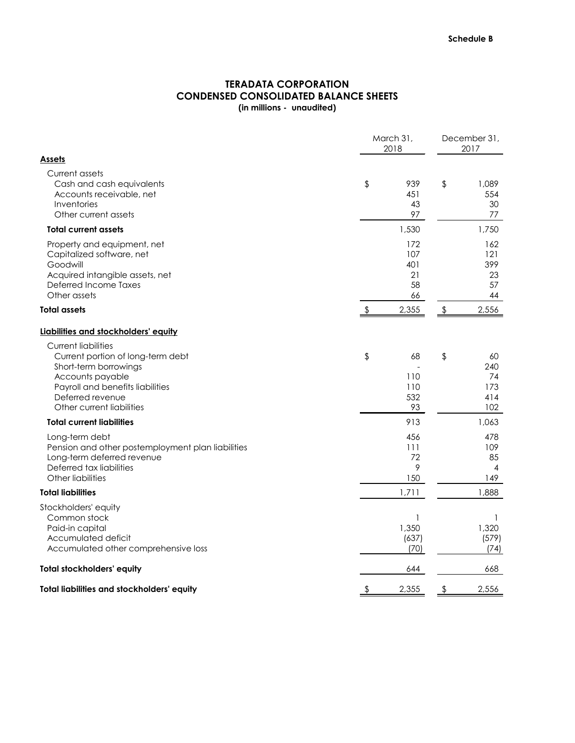## **CONDENSED CONSOLIDATED BALANCE SHEETS (in millions - unaudited) TERADATA CORPORATION**

|                                                                                                                                                                                                   | March 31,<br>2018                   |               |                                      |
|---------------------------------------------------------------------------------------------------------------------------------------------------------------------------------------------------|-------------------------------------|---------------|--------------------------------------|
| <u>Assets</u><br>Current assets<br>Cash and cash equivalents<br>Accounts receivable, net<br>Inventories<br>Other current assets                                                                   | \$<br>939<br>451<br>43<br>97        | $\frac{1}{2}$ | 1,089<br>554<br>30<br>77             |
| <b>Total current assets</b>                                                                                                                                                                       | 1,530                               |               | 1,750                                |
| Property and equipment, net<br>Capitalized software, net<br>Goodwill<br>Acquired intangible assets, net<br><b>Deferred Income Taxes</b><br>Other assets                                           | 172<br>107<br>401<br>21<br>58<br>66 |               | 162<br>121<br>399<br>23<br>57<br>44  |
| <b>Total assets</b>                                                                                                                                                                               | 2,355                               | \$            | 2,556                                |
| Liabilities and stockholders' equity                                                                                                                                                              |                                     |               |                                      |
| <b>Current liabilities</b><br>Current portion of long-term debt<br>Short-term borrowings<br>Accounts payable<br>Payroll and benefits liabilities<br>Deferred revenue<br>Other current liabilities | \$<br>68<br>110<br>110<br>532<br>93 | \$            | 60<br>240<br>74<br>173<br>414<br>102 |
| <b>Total current liabilities</b>                                                                                                                                                                  | 913                                 |               | 1,063                                |
| Long-term debt<br>Pension and other postemployment plan liabilities<br>Long-term deferred revenue<br>Deferred tax liabilities<br>Other liabilities                                                | 456<br>111<br>72<br>9<br>150        |               | 478<br>109<br>85<br>4<br>149         |
| <b>Total liabilities</b>                                                                                                                                                                          | 1,711                               |               | 1,888                                |
| Stockholders' equity<br>Common stock<br>Paid-in capital<br>Accumulated deficit<br>Accumulated other comprehensive loss                                                                            | 1,350<br>(637)<br>(70)              |               | 1,320<br>(579)<br>(74)               |
| Total stockholders' equity                                                                                                                                                                        | 644                                 |               | 668                                  |
| Total liabilities and stockholders' equity                                                                                                                                                        | 2,355                               | \$            | 2,556                                |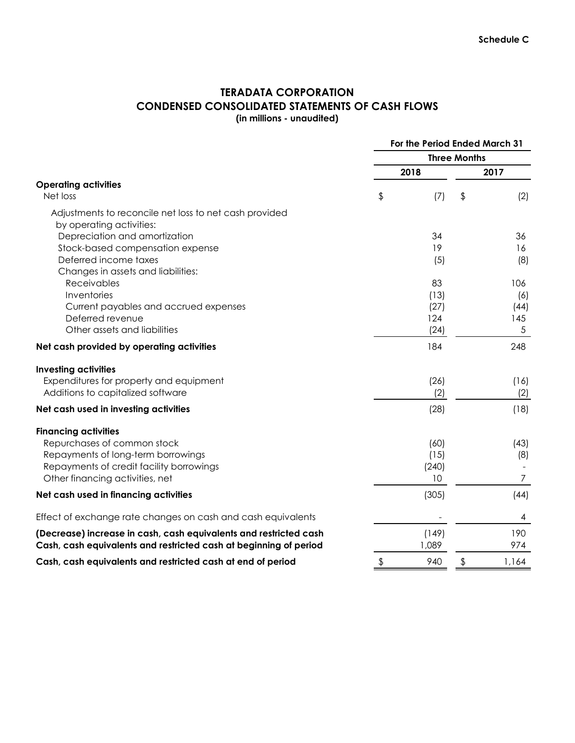### **TERADATA CORPORATION CONDENSED CONSOLIDATED STATEMENTS OF CASH FLOWS (in millions - unaudited)**

|                                                                   | For the Period Ended March 31 |             |    |                |
|-------------------------------------------------------------------|-------------------------------|-------------|----|----------------|
|                                                                   | <b>Three Months</b>           |             |    |                |
|                                                                   |                               | 2018        |    | 2017           |
| <b>Operating activities</b>                                       |                               |             |    |                |
| Net loss                                                          | \$                            | (7)         | \$ | (2)            |
| Adjustments to reconcile net loss to net cash provided            |                               |             |    |                |
| by operating activities:                                          |                               |             |    |                |
| Depreciation and amortization                                     |                               | 34          |    | 36             |
| Stock-based compensation expense                                  |                               | 19          |    | 16             |
| Deferred income taxes                                             |                               | (5)         |    | (8)            |
| Changes in assets and liabilities:                                |                               |             |    |                |
| Receivables                                                       |                               | 83          |    | 106            |
| Inventories                                                       |                               | (13)        |    | (6)            |
| Current payables and accrued expenses<br>Deferred revenue         |                               | (27)<br>124 |    | (44)<br>145    |
| Other assets and liabilities                                      |                               | (24)        |    | $\sqrt{5}$     |
| Net cash provided by operating activities                         |                               | 184         |    | 248            |
| <b>Investing activities</b>                                       |                               |             |    |                |
| Expenditures for property and equipment                           |                               | (26)        |    | (16)           |
| Additions to capitalized software                                 |                               | (2)         |    | (2)            |
| Net cash used in investing activities                             |                               | (28)        |    | (18)           |
| <b>Financing activities</b>                                       |                               |             |    |                |
| Repurchases of common stock                                       |                               | (60)        |    | (43)           |
| Repayments of long-term borrowings                                |                               | (15)        |    | (8)            |
| Repayments of credit facility borrowings                          |                               | (240)       |    |                |
| Other financing activities, net                                   |                               | 10          |    | $\overline{7}$ |
| Net cash used in financing activities                             |                               | (305)       |    | (44)           |
| Effect of exchange rate changes on cash and cash equivalents      |                               |             |    | 4              |
| (Decrease) increase in cash, cash equivalents and restricted cash |                               | (149)       |    | 190            |
| Cash, cash equivalents and restricted cash at beginning of period |                               | 1,089       |    | 974            |
| Cash, cash equivalents and restricted cash at end of period       | \$                            | 940         | \$ | 1,164          |